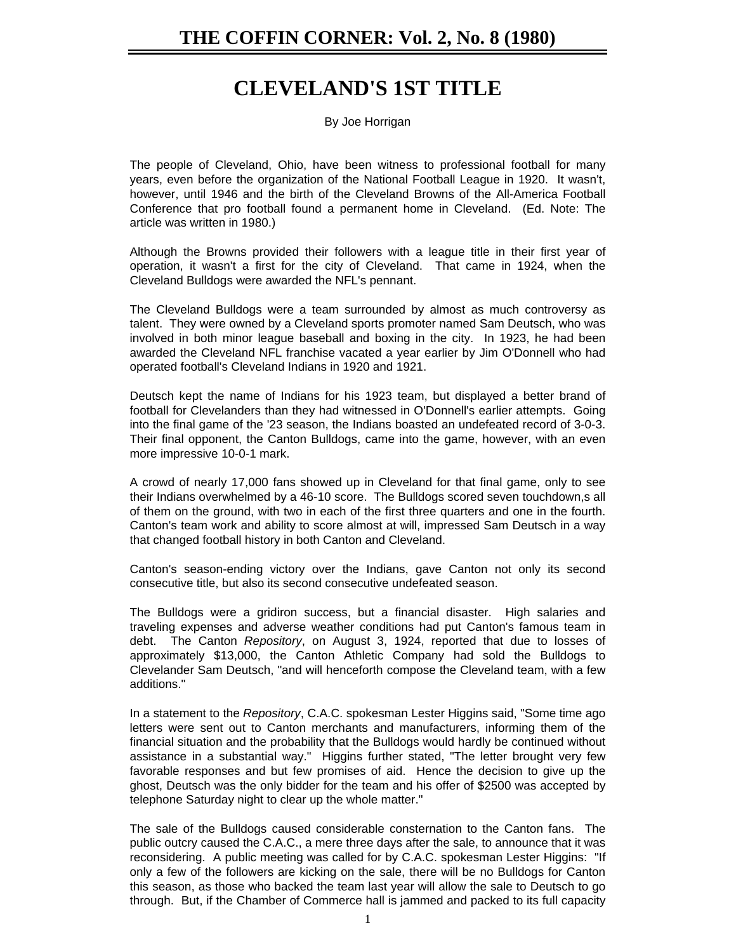## **CLEVELAND'S 1ST TITLE**

By Joe Horrigan

The people of Cleveland, Ohio, have been witness to professional football for many years, even before the organization of the National Football League in 1920. It wasn't, however, until 1946 and the birth of the Cleveland Browns of the All-America Football Conference that pro football found a permanent home in Cleveland. (Ed. Note: The article was written in 1980.)

Although the Browns provided their followers with a league title in their first year of operation, it wasn't a first for the city of Cleveland. That came in 1924, when the Cleveland Bulldogs were awarded the NFL's pennant.

The Cleveland Bulldogs were a team surrounded by almost as much controversy as talent. They were owned by a Cleveland sports promoter named Sam Deutsch, who was involved in both minor league baseball and boxing in the city. In 1923, he had been awarded the Cleveland NFL franchise vacated a year earlier by Jim O'Donnell who had operated football's Cleveland Indians in 1920 and 1921.

Deutsch kept the name of Indians for his 1923 team, but displayed a better brand of football for Clevelanders than they had witnessed in O'Donnell's earlier attempts. Going into the final game of the '23 season, the Indians boasted an undefeated record of 3-0-3. Their final opponent, the Canton Bulldogs, came into the game, however, with an even more impressive 10-0-1 mark.

A crowd of nearly 17,000 fans showed up in Cleveland for that final game, only to see their Indians overwhelmed by a 46-10 score. The Bulldogs scored seven touchdown,s all of them on the ground, with two in each of the first three quarters and one in the fourth. Canton's team work and ability to score almost at will, impressed Sam Deutsch in a way that changed football history in both Canton and Cleveland.

Canton's season-ending victory over the Indians, gave Canton not only its second consecutive title, but also its second consecutive undefeated season.

The Bulldogs were a gridiron success, but a financial disaster. High salaries and traveling expenses and adverse weather conditions had put Canton's famous team in debt. The Canton *Repository*, on August 3, 1924, reported that due to losses of approximately \$13,000, the Canton Athletic Company had sold the Bulldogs to Clevelander Sam Deutsch, "and will henceforth compose the Cleveland team, with a few additions."

In a statement to the *Repository*, C.A.C. spokesman Lester Higgins said, "Some time ago letters were sent out to Canton merchants and manufacturers, informing them of the financial situation and the probability that the Bulldogs would hardly be continued without assistance in a substantial way." Higgins further stated, "The letter brought very few favorable responses and but few promises of aid. Hence the decision to give up the ghost, Deutsch was the only bidder for the team and his offer of \$2500 was accepted by telephone Saturday night to clear up the whole matter."

The sale of the Bulldogs caused considerable consternation to the Canton fans. The public outcry caused the C.A.C., a mere three days after the sale, to announce that it was reconsidering. A public meeting was called for by C.A.C. spokesman Lester Higgins: "If only a few of the followers are kicking on the sale, there will be no Bulldogs for Canton this season, as those who backed the team last year will allow the sale to Deutsch to go through. But, if the Chamber of Commerce hall is jammed and packed to its full capacity